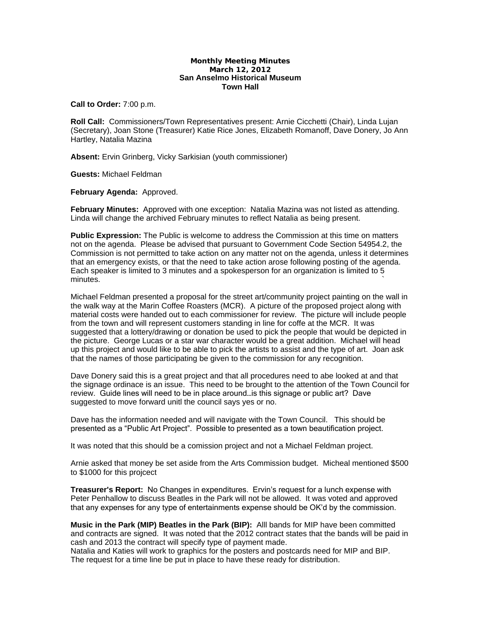## **Monthly Meeting Minutes March 12, 2012 San Anselmo Historical Museum Town Hall**

**Call to Order:** 7:00 p.m.

**Roll Call:** Commissioners/Town Representatives present: Arnie Cicchetti (Chair), Linda Lujan (Secretary), Joan Stone (Treasurer) Katie Rice Jones, Elizabeth Romanoff, Dave Donery, Jo Ann Hartley, Natalia Mazina

**Absent:** Ervin Grinberg, Vicky Sarkisian (youth commissioner)

**Guests:** Michael Feldman

**February Agenda:** Approved.

**February Minutes:** Approved with one exception: Natalia Mazina was not listed as attending. Linda will change the archived February minutes to reflect Natalia as being present.

**Public Expression:** The Public is welcome to address the Commission at this time on matters not on the agenda. Please be advised that pursuant to Government Code Section 54954.2, the Commission is not permitted to take action on any matter not on the agenda, unless it determines that an emergency exists, or that the need to take action arose following posting of the agenda. Each speaker is limited to 3 minutes and a spokesperson for an organization is limited to 5 minutes. The contract of the contract of the contract of the contract of the contract of the contract of the contract of the contract of the contract of the contract of the contract of the contract of the contract of the c

Michael Feldman presented a proposal for the street art/community project painting on the wall in the walk way at the Marin Coffee Roasters (MCR). A picture of the proposed project along with material costs were handed out to each commissioner for review. The picture will include people from the town and will represent customers standing in line for coffe at the MCR. It was suggested that a lottery/drawing or donation be used to pick the people that would be depicted in the picture. George Lucas or a star war character would be a great addition. Michael will head up this project and would like to be able to pick the artists to assist and the type of art. Joan ask that the names of those participating be given to the commission for any recognition.

Dave Donery said this is a great project and that all procedures need to abe looked at and that the signage ordinace is an issue. This need to be brought to the attention of the Town Council for review. Guide lines will need to be in place around…is this signage or public art? Dave suggested to move forward unitl the council says yes or no.

Dave has the information needed and will navigate with the Town Council. This should be presented as a "Public Art Project". Possible to presented as a town beautification project.

It was noted that this should be a comission project and not a Michael Feldman project.

Arnie asked that money be set aside from the Arts Commission budget. Micheal mentioned \$500 to \$1000 for this projcect

**Treasurer's Report:** No Changes in expenditures. Ervin's request for a lunch expense with Peter Penhallow to discuss Beatles in the Park will not be allowed. It was voted and approved that any expenses for any type of entertainments expense should be OK'd by the commission.

**Music in the Park (MIP) Beatles in the Park (BIP):** Alll bands for MIP have been committed and contracts are signed. It was noted that the 2012 contract states that the bands will be paid in cash and 2013 the contract will specify type of payment made.

Natalia and Katies will work to graphics for the posters and postcards need for MIP and BIP. The request for a time line be put in place to have these ready for distribution.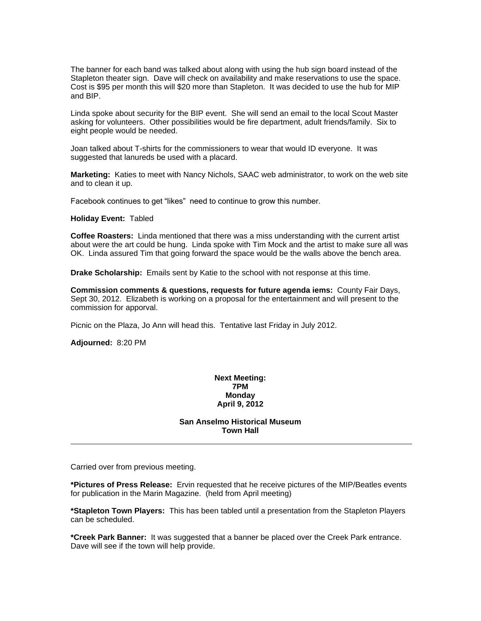The banner for each band was talked about along with using the hub sign board instead of the Stapleton theater sign. Dave will check on availability and make reservations to use the space. Cost is \$95 per month this will \$20 more than Stapleton. It was decided to use the hub for MIP and BIP.

Linda spoke about security for the BIP event. She will send an email to the local Scout Master asking for volunteers. Other possibilities would be fire department, adult friends/family. Six to eight people would be needed.

Joan talked about T-shirts for the commissioners to wear that would ID everyone. It was suggested that lanureds be used with a placard.

**Marketing:** Katies to meet with Nancy Nichols, SAAC web administrator, to work on the web site and to clean it up.

Facebook continues to get "likes" need to continue to grow this number.

**Holiday Event:** Tabled

**Coffee Roasters:** Linda mentioned that there was a miss understanding with the current artist about were the art could be hung. Linda spoke with Tim Mock and the artist to make sure all was OK. Linda assured Tim that going forward the space would be the walls above the bench area.

**Drake Scholarship:** Emails sent by Katie to the school with not response at this time.

**Commission comments & questions, requests for future agenda iems:** County Fair Days, Sept 30, 2012. Elizabeth is working on a proposal for the entertainment and will present to the commission for apporval.

Picnic on the Plaza, Jo Ann will head this. Tentative last Friday in July 2012.

**Adjourned:** 8:20 PM

## **Next Meeting: 7PM Monday April 9, 2012**

**San Anselmo Historical Museum Town Hall**

Carried over from previous meeting.

**\*Pictures of Press Release:** Ervin requested that he receive pictures of the MIP/Beatles events for publication in the Marin Magazine. (held from April meeting)

**\*Stapleton Town Players:** This has been tabled until a presentation from the Stapleton Players can be scheduled.

**\*Creek Park Banner:** It was suggested that a banner be placed over the Creek Park entrance. Dave will see if the town will help provide.